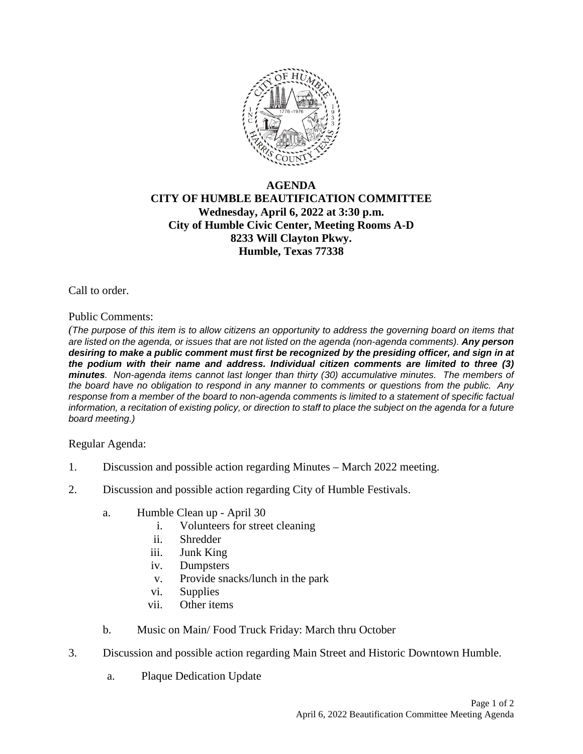

## **AGENDA CITY OF HUMBLE BEAUTIFICATION COMMITTEE Wednesday, April 6, 2022 at 3:30 p.m. City of Humble Civic Center, Meeting Rooms A-D 8233 Will Clayton Pkwy. Humble, Texas 77338**

Call to order.

## Public Comments:

*(The purpose of this item is to allow citizens an opportunity to address the governing board on items that are listed on the agenda, or issues that are not listed on the agenda (non-agenda comments). Any person desiring to make a public comment must first be recognized by the presiding officer, and sign in at the podium with their name and address. Individual citizen comments are limited to three (3) minutes. Non-agenda items cannot last longer than thirty (30) accumulative minutes. The members of the board have no obligation to respond in any manner to comments or questions from the public. Any response from a member of the board to non-agenda comments is limited to a statement of specific factual information, a recitation of existing policy, or direction to staff to place the subject on the agenda for a future board meeting.)* 

## Regular Agenda:

- 1. Discussion and possible action regarding Minutes March 2022 meeting.
- 2. Discussion and possible action regarding City of Humble Festivals.
	- a. Humble Clean up April 30
		- i. Volunteers for street cleaning
		- ii. Shredder
		- iii. Junk King
		- iv. Dumpsters
		- v. Provide snacks/lunch in the park
		- vi. Supplies
		- vii. Other items
	- b. Music on Main/ Food Truck Friday: March thru October
- 3. Discussion and possible action regarding Main Street and Historic Downtown Humble.
	- a. Plaque Dedication Update